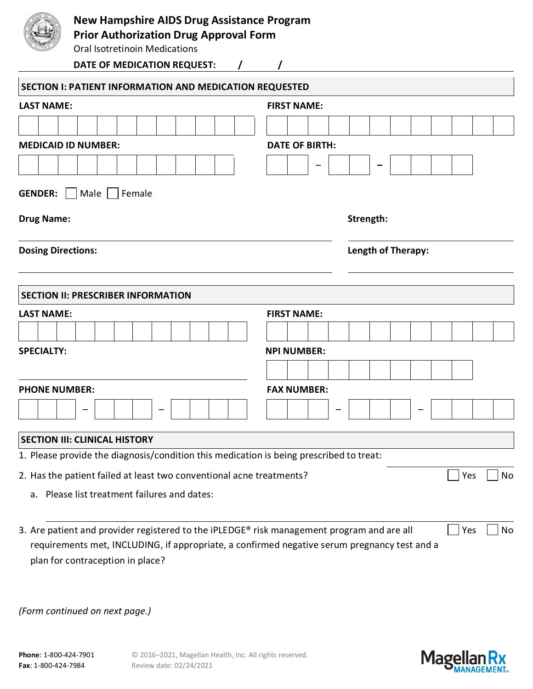

## **New Hampshire AIDS Drug Assistance Program**

**Prior Authorization Drug Approval Form**

Oral Isotretinoin Medications

**DATE OF MEDICATION REQUEST: / /**

| <b>LAST NAME:</b>                                                                       |                       |                    |  |  |  |  |  |     |    |  |  |  |  |
|-----------------------------------------------------------------------------------------|-----------------------|--------------------|--|--|--|--|--|-----|----|--|--|--|--|
|                                                                                         | <b>FIRST NAME:</b>    |                    |  |  |  |  |  |     |    |  |  |  |  |
|                                                                                         |                       |                    |  |  |  |  |  |     |    |  |  |  |  |
| <b>MEDICAID ID NUMBER:</b>                                                              | <b>DATE OF BIRTH:</b> |                    |  |  |  |  |  |     |    |  |  |  |  |
|                                                                                         |                       |                    |  |  |  |  |  |     |    |  |  |  |  |
| <b>GENDER:</b>     Male     Female                                                      |                       |                    |  |  |  |  |  |     |    |  |  |  |  |
| <b>Drug Name:</b>                                                                       | Strength:             |                    |  |  |  |  |  |     |    |  |  |  |  |
| <b>Dosing Directions:</b>                                                               |                       | Length of Therapy: |  |  |  |  |  |     |    |  |  |  |  |
| <b>SECTION II: PRESCRIBER INFORMATION</b>                                               |                       |                    |  |  |  |  |  |     |    |  |  |  |  |
| <b>LAST NAME:</b>                                                                       | <b>FIRST NAME:</b>    |                    |  |  |  |  |  |     |    |  |  |  |  |
|                                                                                         |                       |                    |  |  |  |  |  |     |    |  |  |  |  |
| <b>SPECIALTY:</b>                                                                       | <b>NPI NUMBER:</b>    |                    |  |  |  |  |  |     |    |  |  |  |  |
|                                                                                         |                       |                    |  |  |  |  |  |     |    |  |  |  |  |
| <b>PHONE NUMBER:</b>                                                                    | <b>FAX NUMBER:</b>    |                    |  |  |  |  |  |     |    |  |  |  |  |
|                                                                                         |                       |                    |  |  |  |  |  |     |    |  |  |  |  |
| <b>SECTION III: CLINICAL HISTORY</b>                                                    |                       |                    |  |  |  |  |  |     |    |  |  |  |  |
|                                                                                         |                       |                    |  |  |  |  |  |     |    |  |  |  |  |
| 1. Please provide the diagnosis/condition this medication is being prescribed to treat: |                       |                    |  |  |  |  |  |     |    |  |  |  |  |
| 2. Has the patient failed at least two conventional acne treatments?                    |                       |                    |  |  |  |  |  | Yes | No |  |  |  |  |
| a. Please list treatment failures and dates:                                            |                       |                    |  |  |  |  |  |     |    |  |  |  |  |
|                                                                                         |                       |                    |  |  |  |  |  |     |    |  |  |  |  |

requirements met, INCLUDING, if appropriate, a confirmed negative serum pregnancy test and a plan for contraception in place?

*(Form continued on next page.)*